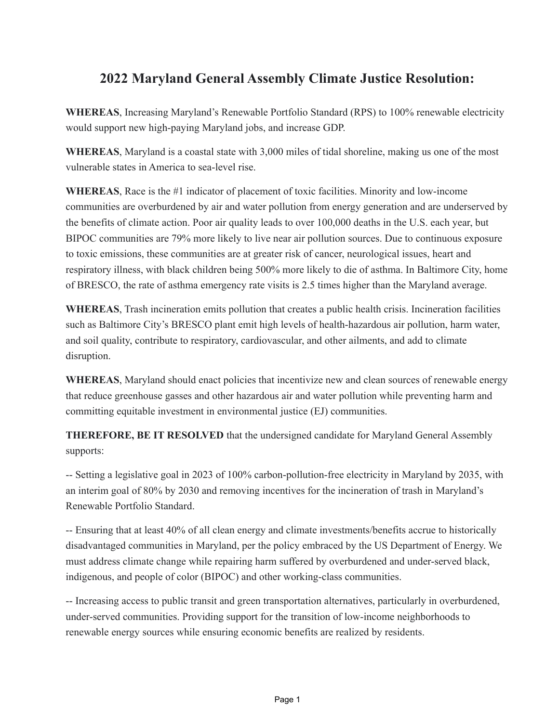# **2022 Maryland General Assembly Climate Justice Resolution:**

**WHEREAS**, Increasing Maryland's Renewable Portfolio Standard (RPS) to 100% renewable electricity would support new high-paying Maryland jobs, and increase GDP.

**WHEREAS**, Maryland is a coastal state with 3,000 miles of tidal shoreline, making us one of the most vulnerable states in America to sea-level rise.

**WHEREAS**, Race is the #1 indicator of placement of toxic facilities. Minority and low-income communities are overburdened by air and water pollution from energy generation and are underserved by the benefits of climate action. Poor air quality leads to over 100,000 deaths in the U.S. each year, but BIPOC communities are 79% more likely to live near air pollution sources. Due to continuous exposure to toxic emissions, these communities are at greater risk of cancer, neurological issues, heart and respiratory illness, with black children being 500% more likely to die of asthma. In Baltimore City, home of BRESCO, the rate of asthma emergency rate visits is 2.5 times higher than the Maryland average.

**WHEREAS**, Trash incineration emits pollution that creates a public health crisis. Incineration facilities such as Baltimore City's BRESCO plant emit high levels of health-hazardous air pollution, harm water, and soil quality, contribute to respiratory, cardiovascular, and other ailments, and add to climate disruption.

**WHEREAS**, Maryland should enact policies that incentivize new and clean sources of renewable energy that reduce greenhouse gasses and other hazardous air and water pollution while preventing harm and committing equitable investment in environmental justice (EJ) communities.

**THEREFORE, BE IT RESOLVED** that the undersigned candidate for Maryland General Assembly supports:

-- Setting a legislative goal in 2023 of 100% carbon-pollution-free electricity in Maryland by 2035, with an interim goal of 80% by 2030 and removing incentives for the incineration of trash in Maryland's Renewable Portfolio Standard.

-- Ensuring that at least 40% of all clean energy and climate investments/benefits accrue to historically disadvantaged communities in Maryland, per the policy embraced by the US Department of Energy. We must address climate change while repairing harm suffered by overburdened and under-served black, indigenous, and people of color (BIPOC) and other working-class communities.

-- Increasing access to public transit and green transportation alternatives, particularly in overburdened, under-served communities. Providing support for the transition of low-income neighborhoods to renewable energy sources while ensuring economic benefits are realized by residents.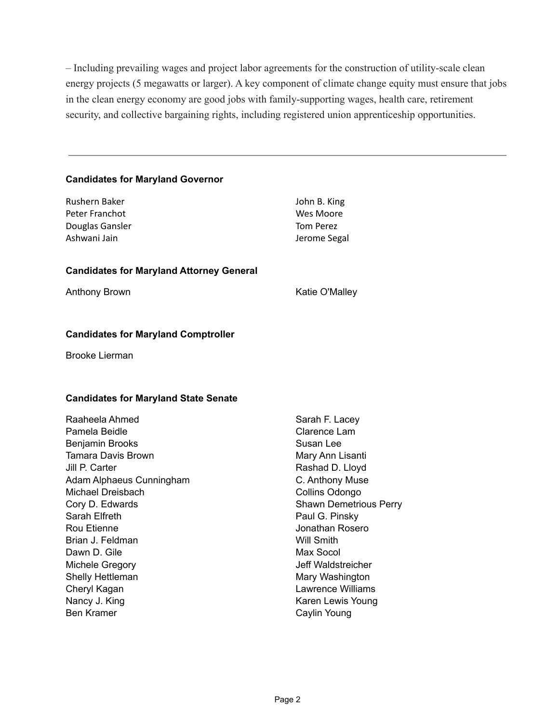– Including prevailing wages and project labor agreements for the construction of utility-scale clean energy projects (5 megawatts or larger). A key component of climate change equity must ensure that jobs in the clean energy economy are good jobs with family-supporting wages, health care, retirement security, and collective bargaining rights, including registered union apprenticeship opportunities.

## **Candidates for Maryland Governor**

| Rushern Baker<br>Peter Franchot<br>Douglas Gansler<br>Ashwani Jain | John B. King<br>Wes Moore<br><b>Tom Perez</b><br>Jerome Segal |
|--------------------------------------------------------------------|---------------------------------------------------------------|
| <b>Candidates for Maryland Attorney General</b>                    |                                                               |
| Anthony Brown                                                      | Katie O'Malley                                                |
|                                                                    |                                                               |

# **Candidates for Maryland Comptroller**

Brooke Lierman

## **Candidates for Maryland State Senate**

| Clarence Lam<br>Pamela Beidle<br>Benjamin Brooks<br>Susan Lee<br>Tamara Davis Brown<br>Mary Ann Lisanti<br>Jill P. Carter<br>Rashad D. Lloyd<br>Adam Alphaeus Cunningham<br>C. Anthony Muse<br>Michael Dreisbach<br>Collins Odongo<br>Cory D. Edwards<br><b>Shawn Demetrious Perry</b><br>Sarah Elfreth<br>Paul G. Pinsky<br>Rou Etienne<br>Jonathan Rosero<br><b>Will Smith</b><br>Brian J. Feldman<br>Dawn D. Gile<br>Max Socol<br>Michele Gregory<br>Jeff Waldstreicher<br>Shelly Hettleman<br>Mary Washington<br>Lawrence Williams<br>Cheryl Kagan<br>Nancy J. King<br>Karen Lewis Young<br><b>Ben Kramer</b><br>Caylin Young | Raaheela Ahmed | Sarah F. Lacey |
|-----------------------------------------------------------------------------------------------------------------------------------------------------------------------------------------------------------------------------------------------------------------------------------------------------------------------------------------------------------------------------------------------------------------------------------------------------------------------------------------------------------------------------------------------------------------------------------------------------------------------------------|----------------|----------------|
|                                                                                                                                                                                                                                                                                                                                                                                                                                                                                                                                                                                                                                   |                |                |
|                                                                                                                                                                                                                                                                                                                                                                                                                                                                                                                                                                                                                                   |                |                |
|                                                                                                                                                                                                                                                                                                                                                                                                                                                                                                                                                                                                                                   |                |                |
|                                                                                                                                                                                                                                                                                                                                                                                                                                                                                                                                                                                                                                   |                |                |
|                                                                                                                                                                                                                                                                                                                                                                                                                                                                                                                                                                                                                                   |                |                |
|                                                                                                                                                                                                                                                                                                                                                                                                                                                                                                                                                                                                                                   |                |                |
|                                                                                                                                                                                                                                                                                                                                                                                                                                                                                                                                                                                                                                   |                |                |
|                                                                                                                                                                                                                                                                                                                                                                                                                                                                                                                                                                                                                                   |                |                |
|                                                                                                                                                                                                                                                                                                                                                                                                                                                                                                                                                                                                                                   |                |                |
|                                                                                                                                                                                                                                                                                                                                                                                                                                                                                                                                                                                                                                   |                |                |
|                                                                                                                                                                                                                                                                                                                                                                                                                                                                                                                                                                                                                                   |                |                |
|                                                                                                                                                                                                                                                                                                                                                                                                                                                                                                                                                                                                                                   |                |                |
|                                                                                                                                                                                                                                                                                                                                                                                                                                                                                                                                                                                                                                   |                |                |
|                                                                                                                                                                                                                                                                                                                                                                                                                                                                                                                                                                                                                                   |                |                |
|                                                                                                                                                                                                                                                                                                                                                                                                                                                                                                                                                                                                                                   |                |                |
|                                                                                                                                                                                                                                                                                                                                                                                                                                                                                                                                                                                                                                   |                |                |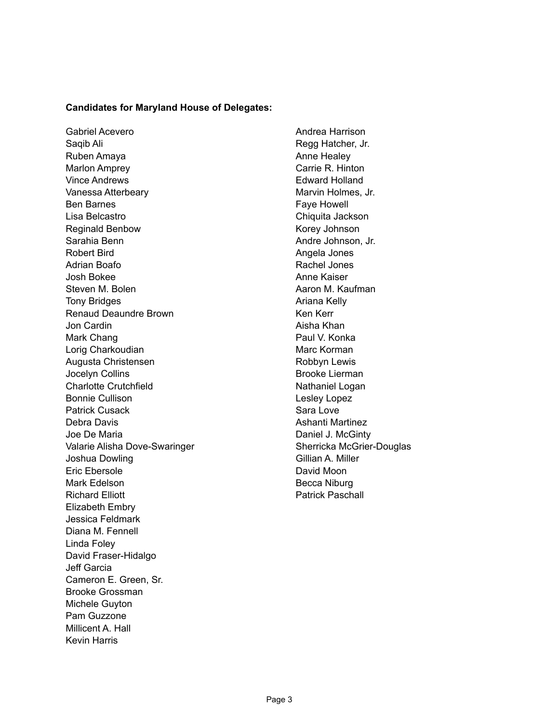#### **Candidates for Maryland House of Delegates:**

Gabriel Acevero Saqib Ali Ruben Amaya Marlon Amprey Vince Andrews Vanessa Atterbeary Ben Barnes Lisa Belcastro Reginald Benbow Sarahia Benn Robert Bird Adrian Boafo Josh Bokee Steven M. Bolen Tony Bridges Renaud Deaundre Brown Jon Cardin Mark Chang Lorig Charkoudian Augusta Christensen Jocelyn Collins Charlotte Crutchfield Bonnie Cullison Patrick Cusack Debra Davis Joe De Maria Valarie Alisha Dove-Swaringer Joshua Dowling Eric Ebersole Mark Edelson Richard Elliott Elizabeth Embry Jessica Feldmark Diana M. Fennell Linda Foley David Fraser-Hidalgo Jeff Garcia Cameron E. Green, Sr. Brooke Grossman Michele Guyton Pam Guzzone Millicent A. Hall Kevin Harris

Andrea Harrison Regg Hatcher, Jr. Anne Healey Carrie R. Hinton Edward Holland Marvin Holmes, Jr. Faye Howell Chiquita Jackson Korey Johnson Andre Johnson, Jr. Angela Jones Rachel Jones Anne Kaiser Aaron M. Kaufman Ariana Kelly Ken Kerr Aisha Khan Paul V. Konka Marc Korman Robbyn Lewis Brooke Lierman Nathaniel Logan Lesley Lopez Sara Love Ashanti Martinez Daniel J. McGinty Sherricka McGrier-Douglas Gillian A. Miller David Moon Becca Niburg Patrick Paschall